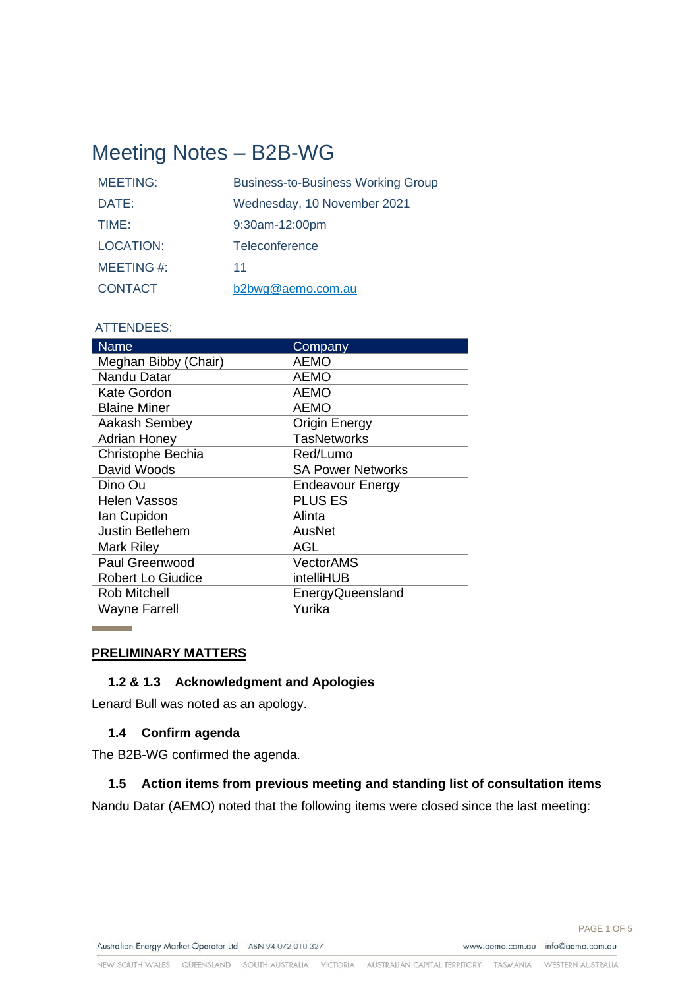# Meeting Notes – B2B-WG

| <b>MEETING:</b>  | <b>Business-to-Business Working Group</b> |
|------------------|-------------------------------------------|
| DATE:            | Wednesday, 10 November 2021               |
| TIME:            | 9:30am-12:00pm                            |
| <b>LOCATION:</b> | Teleconference                            |
| MEETING #:       | 11                                        |
| <b>CONTACT</b>   | b2bwg@aemo.com.au                         |

#### ATTENDEES:

| <b>Name</b>              | Company                  |
|--------------------------|--------------------------|
| Meghan Bibby (Chair)     | <b>AEMO</b>              |
| Nandu Datar              | <b>AEMO</b>              |
| <b>Kate Gordon</b>       | <b>AEMO</b>              |
| <b>Blaine Miner</b>      | <b>AEMO</b>              |
| Aakash Sembey            | <b>Origin Energy</b>     |
| <b>Adrian Honey</b>      | <b>TasNetworks</b>       |
| Christophe Bechia        | Red/Lumo                 |
| David Woods              | <b>SA Power Networks</b> |
| Dino Ou                  | <b>Endeavour Energy</b>  |
| <b>Helen Vassos</b>      | <b>PLUS ES</b>           |
| Ian Cupidon              | Alinta                   |
| <b>Justin Betlehem</b>   | AusNet                   |
| <b>Mark Riley</b>        | <b>AGL</b>               |
| Paul Greenwood           | <b>VectorAMS</b>         |
| <b>Robert Lo Giudice</b> | intelliHUB               |
| <b>Rob Mitchell</b>      | EnergyQueensland         |
| <b>Wayne Farrell</b>     | Yurika                   |

#### **PRELIMINARY MATTERS**

# **1.2 & 1.3 Acknowledgment and Apologies**

Lenard Bull was noted as an apology.

#### **1.4 Confirm agenda**

The B2B-WG confirmed the agenda.

#### **1.5 Action items from previous meeting and standing list of consultation items**

Nandu Datar (AEMO) noted that the following items were closed since the last meeting: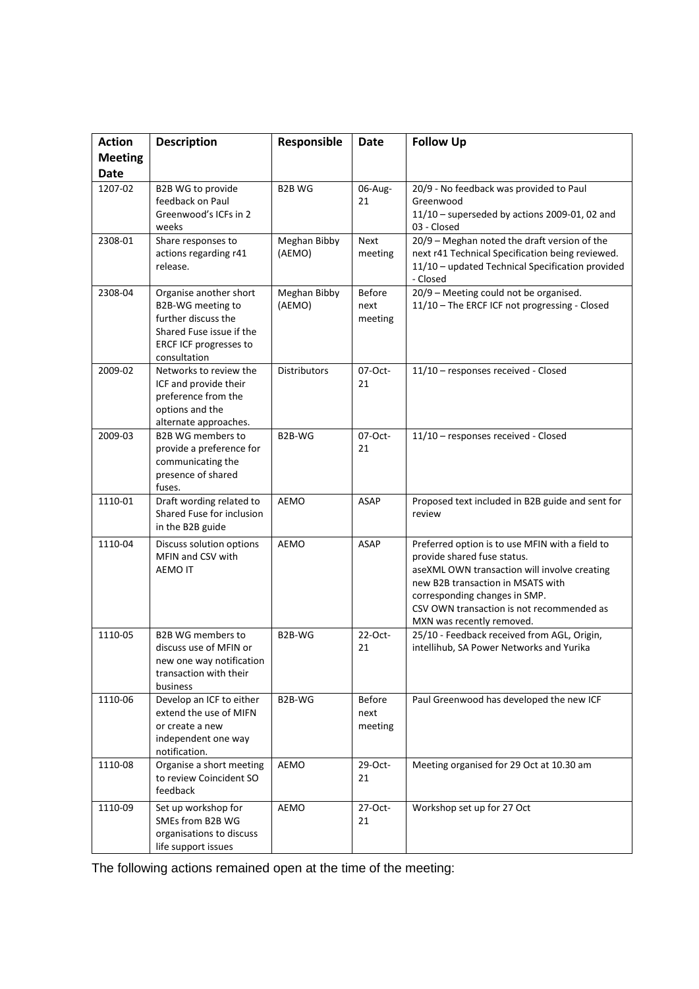| <b>Action</b>                 | <b>Description</b>                                                                                                                       | Responsible            | <b>Date</b>                      | <b>Follow Up</b>                                                                                                                                                                                                                                                               |
|-------------------------------|------------------------------------------------------------------------------------------------------------------------------------------|------------------------|----------------------------------|--------------------------------------------------------------------------------------------------------------------------------------------------------------------------------------------------------------------------------------------------------------------------------|
| <b>Meeting</b><br><b>Date</b> |                                                                                                                                          |                        |                                  |                                                                                                                                                                                                                                                                                |
| 1207-02                       | B2B WG to provide<br>feedback on Paul<br>Greenwood's ICFs in 2<br>weeks                                                                  | <b>B2B WG</b>          | 06-Aug-<br>21                    | 20/9 - No feedback was provided to Paul<br>Greenwood<br>$11/10$ - superseded by actions 2009-01, 02 and<br>03 - Closed                                                                                                                                                         |
| 2308-01                       | Share responses to<br>actions regarding r41<br>release.                                                                                  | Meghan Bibby<br>(AEMO) | Next<br>meeting                  | 20/9 - Meghan noted the draft version of the<br>next r41 Technical Specification being reviewed.<br>11/10 - updated Technical Specification provided<br>- Closed                                                                                                               |
| 2308-04                       | Organise another short<br>B2B-WG meeting to<br>further discuss the<br>Shared Fuse issue if the<br>ERCF ICF progresses to<br>consultation | Meghan Bibby<br>(AEMO) | <b>Before</b><br>next<br>meeting | 20/9 - Meeting could not be organised.<br>11/10 - The ERCF ICF not progressing - Closed                                                                                                                                                                                        |
| 2009-02                       | Networks to review the<br>ICF and provide their<br>preference from the<br>options and the<br>alternate approaches.                       | <b>Distributors</b>    | 07-Oct-<br>21                    | 11/10 - responses received - Closed                                                                                                                                                                                                                                            |
| 2009-03                       | <b>B2B WG members to</b><br>provide a preference for<br>communicating the<br>presence of shared<br>fuses.                                | B2B-WG                 | 07-Oct-<br>21                    | 11/10 - responses received - Closed                                                                                                                                                                                                                                            |
| 1110-01                       | Draft wording related to<br>Shared Fuse for inclusion<br>in the B2B guide                                                                | <b>AEMO</b>            | <b>ASAP</b>                      | Proposed text included in B2B guide and sent for<br>review                                                                                                                                                                                                                     |
| 1110-04                       | Discuss solution options<br>MFIN and CSV with<br><b>AEMO IT</b>                                                                          | <b>AEMO</b>            | <b>ASAP</b>                      | Preferred option is to use MFIN with a field to<br>provide shared fuse status.<br>aseXML OWN transaction will involve creating<br>new B2B transaction in MSATS with<br>corresponding changes in SMP.<br>CSV OWN transaction is not recommended as<br>MXN was recently removed. |
| 1110-05                       | <b>B2B WG members to</b><br>discuss use of MFIN or<br>new one way notification<br>transaction with their<br>business                     | B2B-WG                 | 22-Oct-<br>21                    | 25/10 - Feedback received from AGL, Origin,<br>intellihub, SA Power Networks and Yurika                                                                                                                                                                                        |
| 1110-06                       | Develop an ICF to either<br>extend the use of MIFN<br>or create a new<br>independent one way<br>notification.                            | B2B-WG                 | Before<br>next<br>meeting        | Paul Greenwood has developed the new ICF                                                                                                                                                                                                                                       |
| 1110-08                       | Organise a short meeting<br>to review Coincident SO<br>feedback                                                                          | AEMO                   | 29-Oct-<br>21                    | Meeting organised for 29 Oct at 10.30 am                                                                                                                                                                                                                                       |
| 1110-09                       | Set up workshop for<br>SMEs from B2B WG<br>organisations to discuss<br>life support issues                                               | AEMO                   | 27-Oct-<br>21                    | Workshop set up for 27 Oct                                                                                                                                                                                                                                                     |

The following actions remained open at the time of the meeting: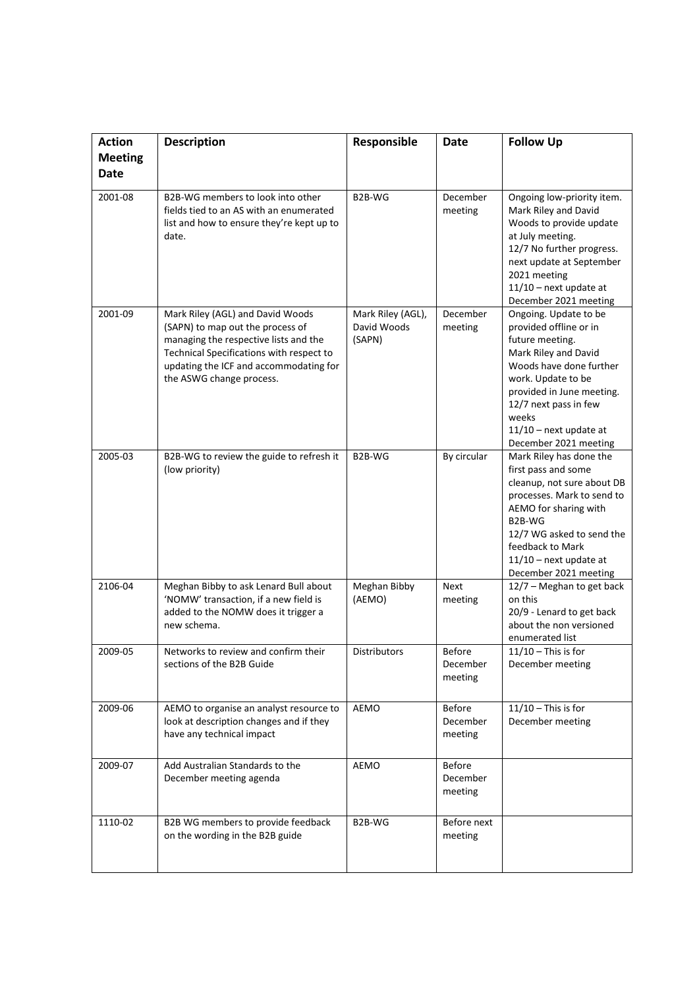| <b>Action</b>                 | <b>Description</b>                                                                                                                                                                                                              | Responsible                                | <b>Date</b>                          | <b>Follow Up</b>                                                                                                                                                                                                                                                |
|-------------------------------|---------------------------------------------------------------------------------------------------------------------------------------------------------------------------------------------------------------------------------|--------------------------------------------|--------------------------------------|-----------------------------------------------------------------------------------------------------------------------------------------------------------------------------------------------------------------------------------------------------------------|
| <b>Meeting</b><br><b>Date</b> |                                                                                                                                                                                                                                 |                                            |                                      |                                                                                                                                                                                                                                                                 |
| 2001-08                       | B2B-WG members to look into other<br>fields tied to an AS with an enumerated<br>list and how to ensure they're kept up to<br>date.                                                                                              | B2B-WG                                     | December<br>meeting                  | Ongoing low-priority item.<br>Mark Riley and David<br>Woods to provide update<br>at July meeting.<br>12/7 No further progress.<br>next update at September<br>2021 meeting<br>$11/10$ – next update at<br>December 2021 meeting                                 |
| 2001-09                       | Mark Riley (AGL) and David Woods<br>(SAPN) to map out the process of<br>managing the respective lists and the<br>Technical Specifications with respect to<br>updating the ICF and accommodating for<br>the ASWG change process. | Mark Riley (AGL),<br>David Woods<br>(SAPN) | December<br>meeting                  | Ongoing. Update to be<br>provided offline or in<br>future meeting.<br>Mark Riley and David<br>Woods have done further<br>work. Update to be<br>provided in June meeting.<br>12/7 next pass in few<br>weeks<br>$11/10$ – next update at<br>December 2021 meeting |
| 2005-03                       | B2B-WG to review the guide to refresh it<br>(low priority)                                                                                                                                                                      | B2B-WG                                     | By circular                          | Mark Riley has done the<br>first pass and some<br>cleanup, not sure about DB<br>processes. Mark to send to<br>AEMO for sharing with<br>B2B-WG<br>12/7 WG asked to send the<br>feedback to Mark<br>$11/10$ – next update at<br>December 2021 meeting             |
| 2106-04                       | Meghan Bibby to ask Lenard Bull about<br>'NOMW' transaction, if a new field is<br>added to the NOMW does it trigger a<br>new schema.                                                                                            | Meghan Bibby<br>(AEMO)                     | Next<br>meeting                      | 12/7 - Meghan to get back<br>on this<br>20/9 - Lenard to get back<br>about the non versioned<br>enumerated list                                                                                                                                                 |
| 2009-05                       | Networks to review and confirm their<br>sections of the B2B Guide                                                                                                                                                               | <b>Distributors</b>                        | <b>Before</b><br>December<br>meeting | $11/10$ – This is for<br>December meeting                                                                                                                                                                                                                       |
| 2009-06                       | AEMO to organise an analyst resource to<br>look at description changes and if they<br>have any technical impact                                                                                                                 | AEMO                                       | <b>Before</b><br>December<br>meeting | $11/10$ - This is for<br>December meeting                                                                                                                                                                                                                       |
| 2009-07                       | Add Australian Standards to the<br>December meeting agenda                                                                                                                                                                      | AEMO                                       | <b>Before</b><br>December<br>meeting |                                                                                                                                                                                                                                                                 |
| 1110-02                       | B2B WG members to provide feedback<br>on the wording in the B2B guide                                                                                                                                                           | B2B-WG                                     | Before next<br>meeting               |                                                                                                                                                                                                                                                                 |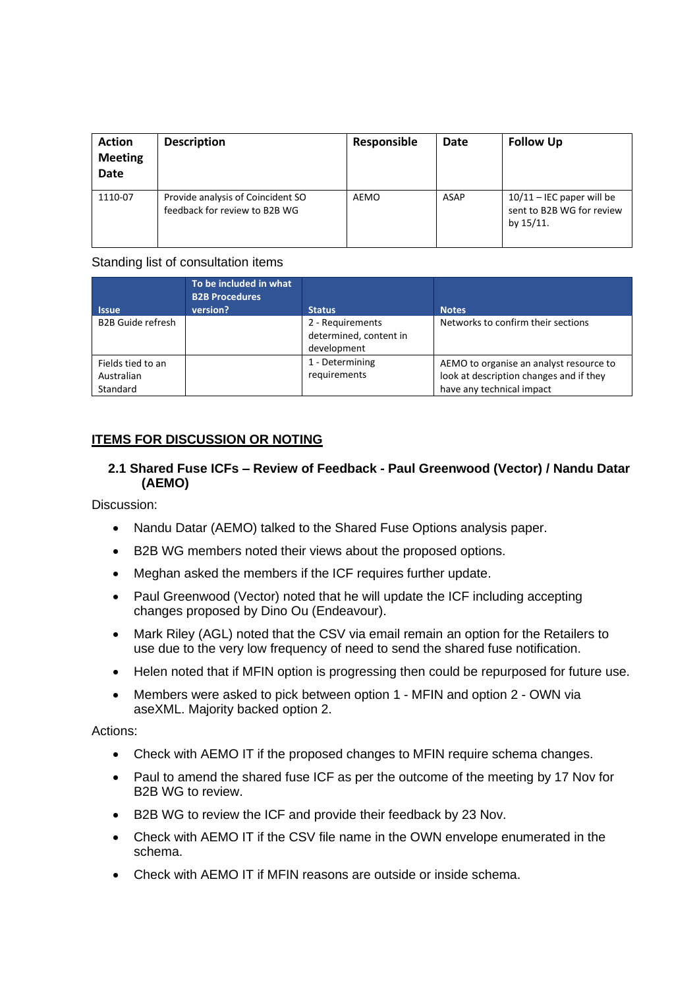| <b>Action</b><br><b>Meeting</b><br><b>Date</b> | <b>Description</b>                                                 | Responsible | Date | <b>Follow Up</b>                                                      |
|------------------------------------------------|--------------------------------------------------------------------|-------------|------|-----------------------------------------------------------------------|
| 1110-07                                        | Provide analysis of Coincident SO<br>feedback for review to B2B WG | AEMO        | ASAP | $10/11$ – IEC paper will be<br>sent to B2B WG for review<br>by 15/11. |

#### Standing list of consultation items

| <b>Issue</b>                                | To be included in what<br><b>B2B Procedures</b><br>version? | <b>Status</b>                                             | <b>Notes</b>                                                                                                    |
|---------------------------------------------|-------------------------------------------------------------|-----------------------------------------------------------|-----------------------------------------------------------------------------------------------------------------|
| <b>B2B Guide refresh</b>                    |                                                             | 2 - Requirements<br>determined, content in<br>development | Networks to confirm their sections                                                                              |
| Fields tied to an<br>Australian<br>Standard |                                                             | 1 - Determining<br>requirements                           | AEMO to organise an analyst resource to<br>look at description changes and if they<br>have any technical impact |

# **ITEMS FOR DISCUSSION OR NOTING**

# **2.1 Shared Fuse ICFs – Review of Feedback - Paul Greenwood (Vector) / Nandu Datar (AEMO)**

Discussion:

- Nandu Datar (AEMO) talked to the Shared Fuse Options analysis paper.
- B2B WG members noted their views about the proposed options.
- Meghan asked the members if the ICF requires further update.
- Paul Greenwood (Vector) noted that he will update the ICF including accepting changes proposed by Dino Ou (Endeavour).
- Mark Riley (AGL) noted that the CSV via email remain an option for the Retailers to use due to the very low frequency of need to send the shared fuse notification.
- Helen noted that if MFIN option is progressing then could be repurposed for future use.
- Members were asked to pick between option 1 MFIN and option 2 OWN via aseXML. Majority backed option 2.

Actions:

- Check with AEMO IT if the proposed changes to MFIN require schema changes.
- Paul to amend the shared fuse ICF as per the outcome of the meeting by 17 Nov for B2B WG to review.
- B2B WG to review the ICF and provide their feedback by 23 Nov.
- Check with AEMO IT if the CSV file name in the OWN envelope enumerated in the schema.
- Check with AEMO IT if MFIN reasons are outside or inside schema.